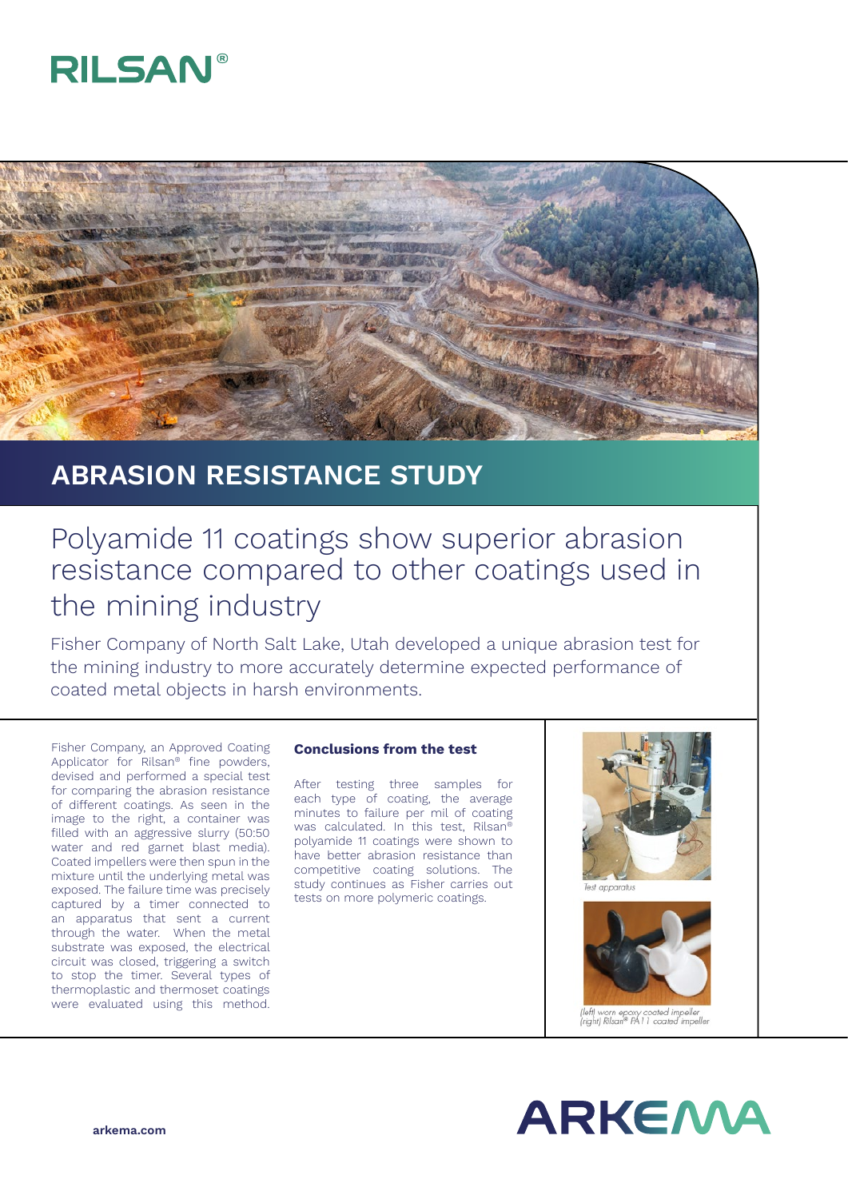# **RILSAN®**



## **ABRASION RESISTANCE STUDY**

## Polyamide 11 coatings show superior abrasion resistance compared to other coatings used in the mining industry

Fisher Company of North Salt Lake, Utah developed a unique abrasion test for the mining industry to more accurately determine expected performance of coated metal objects in harsh environments.

Fisher Company, an Approved Coating Applicator for Rilsan® fine powders, devised and performed a special test for comparing the abrasion resistance of different coatings. As seen in the image to the right, a container was filled with an aggressive slurry (50:50 water and red garnet blast media). Coated impellers were then spun in the mixture until the underlying metal was exposed. The failure time was precisely captured by a timer connected to an apparatus that sent a current through the water. When the metal substrate was exposed, the electrical circuit was closed, triggering a switch to stop the timer. Several types of thermoplastic and thermoset coatings were evaluated using this method.

#### **Conclusions from the test**

After testing three samples for each type of coating, the average minutes to failure per mil of coating was calculated. In this test, Rilsan® polyamide 11 coatings were shown to have better abrasion resistance than competitive coating solutions. The study continues as Fisher carries out tests on more polymeric coatings.





'left) worn epoxy coated impeller<br>'right) Rilsan® PA 1 1 coated impeller